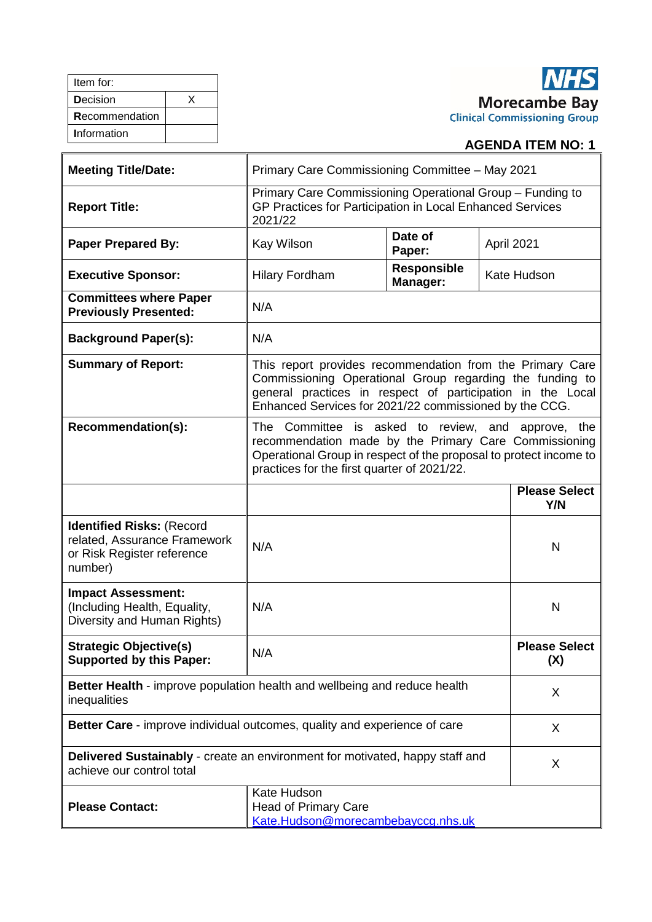| Item for:       |  |
|-----------------|--|
| <b>Decision</b> |  |
| Recommendation  |  |
| Information     |  |

# **NHS** Morecambe Bay<br>Clinical Commissioning Group

## **AGENDA ITEM NO: 1**

| <b>Meeting Title/Date:</b>                                                                                | Primary Care Commissioning Committee - May 2021                                                                                                                                                                                               |                   |                             |
|-----------------------------------------------------------------------------------------------------------|-----------------------------------------------------------------------------------------------------------------------------------------------------------------------------------------------------------------------------------------------|-------------------|-----------------------------|
| <b>Report Title:</b>                                                                                      | Primary Care Commissioning Operational Group - Funding to<br>GP Practices for Participation in Local Enhanced Services<br>2021/22                                                                                                             |                   |                             |
| <b>Paper Prepared By:</b>                                                                                 | Kay Wilson                                                                                                                                                                                                                                    | Date of<br>Paper: | April 2021                  |
| <b>Executive Sponsor:</b>                                                                                 | <b>Responsible</b><br>Kate Hudson<br><b>Hilary Fordham</b><br>Manager:                                                                                                                                                                        |                   |                             |
| <b>Committees where Paper</b><br><b>Previously Presented:</b>                                             | N/A                                                                                                                                                                                                                                           |                   |                             |
| <b>Background Paper(s):</b>                                                                               | N/A                                                                                                                                                                                                                                           |                   |                             |
| <b>Summary of Report:</b>                                                                                 | This report provides recommendation from the Primary Care<br>Commissioning Operational Group regarding the funding to<br>general practices in respect of participation in the Local<br>Enhanced Services for 2021/22 commissioned by the CCG. |                   |                             |
| Recommendation(s):                                                                                        | The Committee is asked to review, and<br>approve, the<br>recommendation made by the Primary Care Commissioning<br>Operational Group in respect of the proposal to protect income to<br>practices for the first quarter of 2021/22.            |                   |                             |
|                                                                                                           |                                                                                                                                                                                                                                               |                   | <b>Please Select</b><br>Y/N |
| <b>Identified Risks: (Record</b><br>related, Assurance Framework<br>or Risk Register reference<br>number) | N/A                                                                                                                                                                                                                                           |                   | N                           |
| <b>Impact Assessment:</b><br>(Including Health, Equality,<br>Diversity and Human Rights)                  | N/A                                                                                                                                                                                                                                           |                   | N                           |
| <b>Strategic Objective(s)</b><br><b>Supported by this Paper:</b>                                          | N/A                                                                                                                                                                                                                                           |                   | <b>Please Select</b><br>(X) |
| Better Health - improve population health and wellbeing and reduce health<br>inequalities                 |                                                                                                                                                                                                                                               |                   | X                           |
| Better Care - improve individual outcomes, quality and experience of care                                 |                                                                                                                                                                                                                                               |                   | X                           |
| Delivered Sustainably - create an environment for motivated, happy staff and<br>achieve our control total |                                                                                                                                                                                                                                               | X                 |                             |
| <b>Please Contact:</b>                                                                                    | Kate Hudson<br><b>Head of Primary Care</b><br>Kate.Hudson@morecambebayccg.nhs.uk                                                                                                                                                              |                   |                             |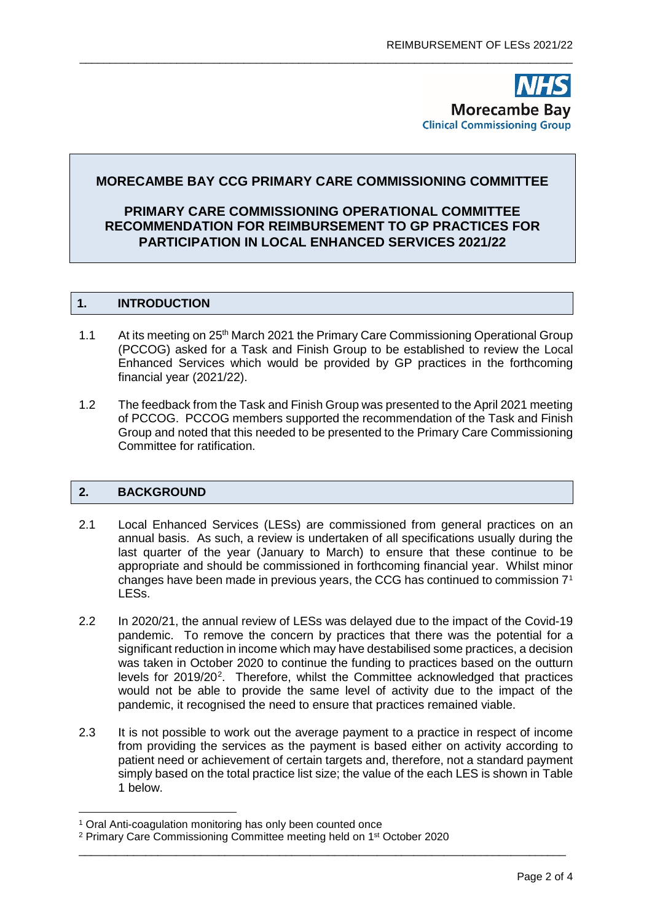**Morecambe Bay Clinical Commissioning Group** 

### **MORECAMBE BAY CCG PRIMARY CARE COMMISSIONING COMMITTEE**

\_\_\_\_\_\_\_\_\_\_\_\_\_\_\_\_\_\_\_\_\_\_\_\_\_\_\_\_\_\_\_\_\_\_\_\_\_\_\_\_\_\_\_\_\_\_\_\_\_\_\_\_\_\_\_\_\_\_\_\_\_\_\_\_\_\_\_\_\_\_\_\_\_\_\_\_\_\_\_\_\_

#### **PRIMARY CARE COMMISSIONING OPERATIONAL COMMITTEE RECOMMENDATION FOR REIMBURSEMENT TO GP PRACTICES FOR PARTICIPATION IN LOCAL ENHANCED SERVICES 2021/22**

#### **1. INTRODUCTION**

- 1.1 At its meeting on 25<sup>th</sup> March 2021 the Primary Care Commissioning Operational Group (PCCOG) asked for a Task and Finish Group to be established to review the Local Enhanced Services which would be provided by GP practices in the forthcoming financial year (2021/22).
- 1.2 The feedback from the Task and Finish Group was presented to the April 2021 meeting of PCCOG. PCCOG members supported the recommendation of the Task and Finish Group and noted that this needed to be presented to the Primary Care Commissioning Committee for ratification.

#### **2. BACKGROUND**

- 2.1 Local Enhanced Services (LESs) are commissioned from general practices on an annual basis. As such, a review is undertaken of all specifications usually during the last quarter of the year (January to March) to ensure that these continue to be appropriate and should be commissioned in forthcoming financial year. Whilst minor changes have been made in previous years, the CCG has continued to commission 7[1](#page-1-0) LESs.
- 2.2 In 2020/21, the annual review of LESs was delayed due to the impact of the Covid-19 pandemic. To remove the concern by practices that there was the potential for a significant reduction in income which may have destabilised some practices, a decision was taken in October 2020 to continue the funding to practices based on the outturn levels for [2](#page-1-1)019/20<sup>2</sup>. Therefore, whilst the Committee acknowledged that practices would not be able to provide the same level of activity due to the impact of the pandemic, it recognised the need to ensure that practices remained viable.
- 2.3 It is not possible to work out the average payment to a practice in respect of income from providing the services as the payment is based either on activity according to patient need or achievement of certain targets and, therefore, not a standard payment simply based on the total practice list size; the value of the each LES is shown in Table 1 below.

\_\_\_\_\_\_\_\_\_\_\_\_\_\_\_\_\_\_\_\_\_\_\_\_\_\_\_\_\_\_\_\_\_\_\_\_\_\_\_\_\_\_\_\_\_\_\_\_\_\_\_\_\_\_\_\_\_\_\_\_\_\_\_\_\_\_\_\_\_\_\_\_\_\_\_\_\_\_\_\_

<span id="page-1-0"></span><sup>&</sup>lt;sup>1</sup> Oral Anti-coagulation monitoring has only been counted once

<span id="page-1-1"></span><sup>2</sup> Primary Care Commissioning Committee meeting held on 1st October 2020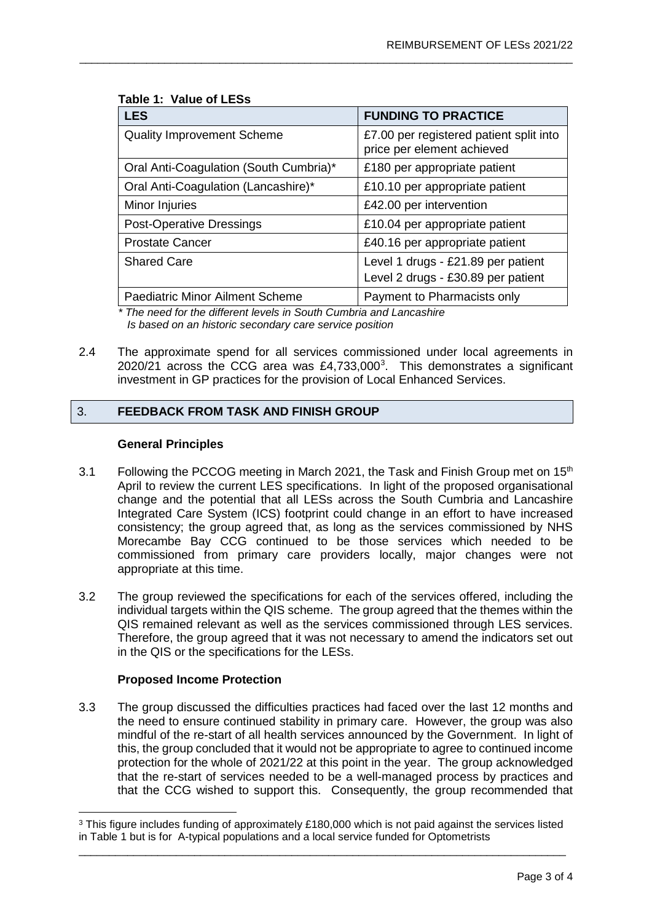| <b>LES</b>                             | <b>FUNDING TO PRACTICE</b>                                            |
|----------------------------------------|-----------------------------------------------------------------------|
| <b>Quality Improvement Scheme</b>      | £7.00 per registered patient split into<br>price per element achieved |
| Oral Anti-Coagulation (South Cumbria)* | £180 per appropriate patient                                          |
| Oral Anti-Coagulation (Lancashire)*    | £10.10 per appropriate patient                                        |
| Minor Injuries                         | £42.00 per intervention                                               |
| <b>Post-Operative Dressings</b>        | £10.04 per appropriate patient                                        |
| <b>Prostate Cancer</b>                 | £40.16 per appropriate patient                                        |
| <b>Shared Care</b>                     | Level 1 drugs - £21.89 per patient                                    |
|                                        | Level 2 drugs - £30.89 per patient                                    |
| <b>Paediatric Minor Ailment Scheme</b> | Payment to Pharmacists only                                           |

\_\_\_\_\_\_\_\_\_\_\_\_\_\_\_\_\_\_\_\_\_\_\_\_\_\_\_\_\_\_\_\_\_\_\_\_\_\_\_\_\_\_\_\_\_\_\_\_\_\_\_\_\_\_\_\_\_\_\_\_\_\_\_\_\_\_\_\_\_\_\_\_\_\_\_\_\_\_\_\_\_

#### **Table 1: Value of LESs**

*\* The need for the different levels in South Cumbria and Lancashire Is based on an historic secondary care service position*

2.4 The approximate spend for all services commissioned under local agreements in 2020/21 across the CCG area was  $£4,733,000<sup>3</sup>$  $£4,733,000<sup>3</sup>$  $£4,733,000<sup>3</sup>$ . This demonstrates a significant investment in GP practices for the provision of Local Enhanced Services.

#### 3. **FEEDBACK FROM TASK AND FINISH GROUP**

#### **General Principles**

- 3.1 Following the PCCOG meeting in March 2021, the Task and Finish Group met on 15<sup>th</sup> April to review the current LES specifications. In light of the proposed organisational change and the potential that all LESs across the South Cumbria and Lancashire Integrated Care System (ICS) footprint could change in an effort to have increased consistency; the group agreed that, as long as the services commissioned by NHS Morecambe Bay CCG continued to be those services which needed to be commissioned from primary care providers locally, major changes were not appropriate at this time.
- 3.2 The group reviewed the specifications for each of the services offered, including the individual targets within the QIS scheme. The group agreed that the themes within the QIS remained relevant as well as the services commissioned through LES services. Therefore, the group agreed that it was not necessary to amend the indicators set out in the QIS or the specifications for the LESs.

#### **Proposed Income Protection**

3.3 The group discussed the difficulties practices had faced over the last 12 months and the need to ensure continued stability in primary care. However, the group was also mindful of the re-start of all health services announced by the Government. In light of this, the group concluded that it would not be appropriate to agree to continued income protection for the whole of 2021/22 at this point in the year. The group acknowledged that the re-start of services needed to be a well-managed process by practices and that the CCG wished to support this. Consequently, the group recommended that

<span id="page-2-0"></span>\_\_\_\_\_\_\_\_\_\_\_\_\_\_\_\_\_\_\_\_\_\_\_\_\_\_\_\_\_\_\_\_\_\_\_\_\_\_\_\_\_\_\_\_\_\_\_\_\_\_\_\_\_\_\_\_\_\_\_\_\_\_\_\_\_\_\_\_\_\_\_\_\_\_\_\_\_\_\_\_ <sup>3</sup> This figure includes funding of approximately £180,000 which is not paid against the services listed in Table 1 but is for A-typical populations and a local service funded for Optometrists